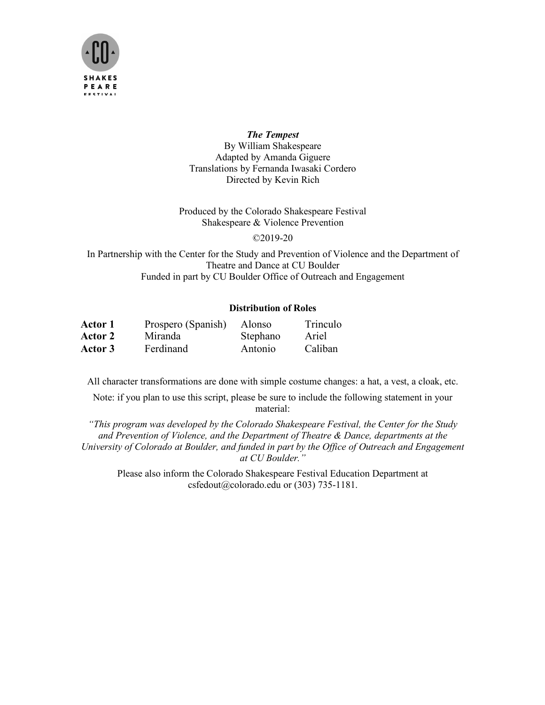

#### *The Tempest*

By William Shakespeare Adapted by Amanda Giguere Translations by Fernanda Iwasaki Cordero Directed by Kevin Rich

Produced by the Colorado Shakespeare Festival Shakespeare & Violence Prevention

©2019-20

In Partnership with the Center for the Study and Prevention of Violence and the Department of Theatre and Dance at CU Boulder Funded in part by CU Boulder Office of Outreach and Engagement

# **Distribution of Roles**

| Actor 1        | Prospero (Spanish) | Alonso   | Trinculo |
|----------------|--------------------|----------|----------|
| <b>Actor 2</b> | Miranda            | Stephano | Ariel    |
| Actor 3        | Ferdinand          | Antonio  | Caliban  |

All character transformations are done with simple costume changes: a hat, a vest, a cloak, etc.

Note: if you plan to use this script, please be sure to include the following statement in your material:

*"This program was developed by the Colorado Shakespeare Festival, the Center for the Study and Prevention of Violence, and the Department of Theatre & Dance, departments at the University of Colorado at Boulder, and funded in part by the Office of Outreach and Engagement at CU Boulder."*

Please also inform the Colorado Shakespeare Festival Education Department at csfedout@colorado.edu or (303) 735-1181.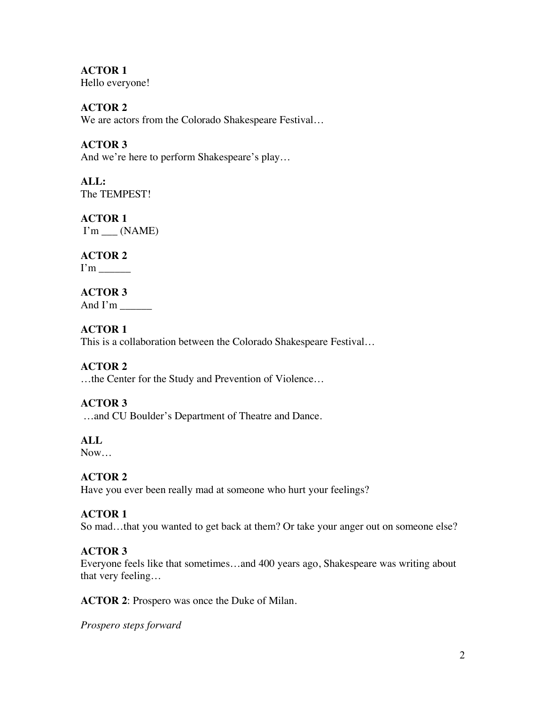**ACTOR 1** Hello everyone!

**ACTOR 2** We are actors from the Colorado Shakespeare Festival…

**ACTOR 3** And we're here to perform Shakespeare's play…

**ALL:** The TEMPEST!

**ACTOR 1**  $I'm$   $(MAME)$ 

**ACTOR 2**

I'm \_\_\_\_\_\_

# **ACTOR 3** And I'm \_\_\_\_\_\_

# **ACTOR 1**

This is a collaboration between the Colorado Shakespeare Festival…

# **ACTOR 2**

…the Center for the Study and Prevention of Violence…

# **ACTOR 3**

…and CU Boulder's Department of Theatre and Dance.

**ALL**

Now…

# **ACTOR 2**

Have you ever been really mad at someone who hurt your feelings?

# **ACTOR 1**

So mad…that you wanted to get back at them? Or take your anger out on someone else?

# **ACTOR 3**

Everyone feels like that sometimes…and 400 years ago, Shakespeare was writing about that very feeling…

**ACTOR 2**: Prospero was once the Duke of Milan.

*Prospero steps forward*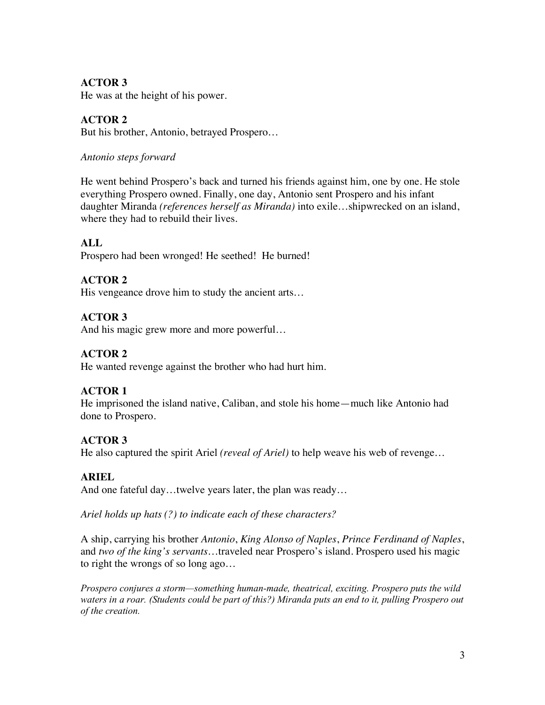# **ACTOR 3**

He was at the height of his power.

# **ACTOR 2**

But his brother, Antonio, betrayed Prospero…

# *Antonio steps forward*

He went behind Prospero's back and turned his friends against him, one by one. He stole everything Prospero owned. Finally, one day, Antonio sent Prospero and his infant daughter Miranda *(references herself as Miranda)* into exile…shipwrecked on an island, where they had to rebuild their lives.

# **ALL**

Prospero had been wronged! He seethed! He burned!

# **ACTOR 2**

His vengeance drove him to study the ancient arts…

# **ACTOR 3**

And his magic grew more and more powerful…

# **ACTOR 2**

He wanted revenge against the brother who had hurt him.

# **ACTOR 1**

He imprisoned the island native, Caliban, and stole his home—much like Antonio had done to Prospero.

# **ACTOR 3**

He also captured the spirit Ariel *(reveal of Ariel)* to help weave his web of revenge…

# **ARIEL**

And one fateful day…twelve years later, the plan was ready*…*

*Ariel holds up hats (?) to indicate each of these characters?*

A ship, carrying his brother *Antonio*, *King Alonso of Naples*, *Prince Ferdinand of Naples*, and *two of the king's servants*…traveled near Prospero's island. Prospero used his magic to right the wrongs of so long ago…

*Prospero conjures a storm—something human-made, theatrical, exciting. Prospero puts the wild waters in a roar. (Students could be part of this?) Miranda puts an end to it, pulling Prospero out of the creation.*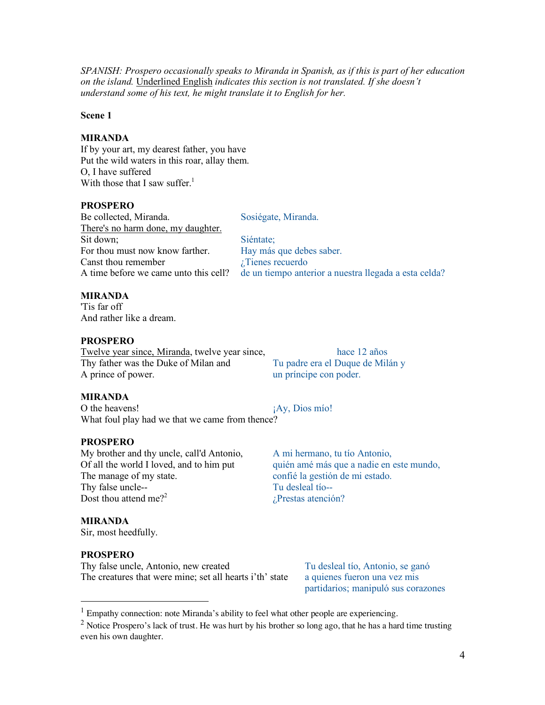*SPANISH: Prospero occasionally speaks to Miranda in Spanish, as if this is part of her education on the island.* Underlined English *indicates this section is not translated. If she doesn't understand some of his text, he might translate it to English for her.*

#### **Scene 1**

## **MIRANDA**

If by your art, my dearest father, you have Put the wild waters in this roar, allay them. O, I have suffered With those that I saw suffer.<sup>1</sup>

# **PROSPERO**

| Be collected, Miranda.                | Sosiégate, Miranda.                                   |  |
|---------------------------------------|-------------------------------------------------------|--|
| There's no harm done, my daughter.    |                                                       |  |
| Sit down;                             | Siéntate;                                             |  |
| For thou must now know farther.       | Hay más que debes saber.                              |  |
| Canst thou remember                   | $i$ Tienes recuerdo                                   |  |
| A time before we came unto this cell? | de un tiempo anterior a nuestra llegada a esta celda? |  |

# **MIRANDA**

'Tis far off And rather like a dream.

# **PROSPERO**

Twelve year since, Miranda, twelve year since, hace 12 años Thy father was the Duke of Milan and Tu padre era el Duque de Milán y A prince of power. un príncipe con poder.

**MIRANDA**

O the heavens!  $i$ Ay, Dios mío! What foul play had we that we came from thence?

## **PROSPERO**

My brother and thy uncle, call'd Antonio, A mi hermano, tu tío Antonio, Of all the world I loved, and to him put quién amé más que a nadie en este mundo, The manage of my state. confié la gestión de mi estado. Thy false uncle-- Tu desleal tio--Dost thou attend me?<sup>2</sup> *i*Prestas atención?

## **MIRANDA**

Sir, most heedfully.

## **PROSPERO**

Thy false uncle, Antonio, new created Tu desleal tío, Antonio, se ganó The creatures that were mine; set all hearts i'th' state a quienes fueron una vez mis

partidarios; manipuló sus corazones

 $<sup>1</sup>$  Empathy connection: note Miranda's ability to feel what other people are experiencing.</sup>

<sup>&</sup>lt;sup>2</sup> Notice Prospero's lack of trust. He was hurt by his brother so long ago, that he has a hard time trusting even his own daughter.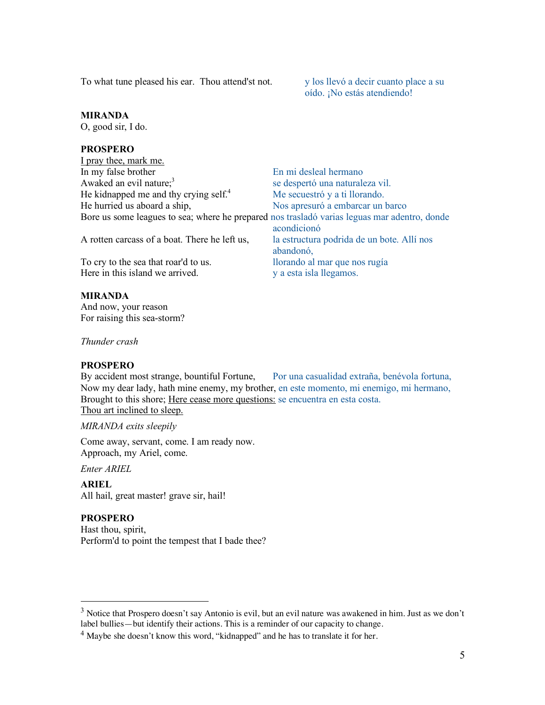To what tune pleased his ear. Thou attend'st not. y los llevó a decir cuanto place a su

oído. ¡No estás atendiendo!

## **MIRANDA**

O, good sir, I do.

# **PROSPERO**

| I pray thee, mark me.                                                                        |                                            |
|----------------------------------------------------------------------------------------------|--------------------------------------------|
| In my false brother                                                                          | En mi desleal hermano                      |
| Awaked an evil nature; <sup>3</sup>                                                          | se despertó una naturaleza vil.            |
| He kidnapped me and thy crying self. <sup>4</sup>                                            | Me secuestró y a ti llorando.              |
| He hurried us aboard a ship,                                                                 | Nos apresuró a embarcar un barco           |
| Bore us some leagues to sea; where he prepared nos trasladó varias leguas mar adentro, donde |                                            |
|                                                                                              | acondicionó                                |
| A rotten carcass of a boat. There he left us,                                                | la estructura podrida de un bote. Allí nos |
|                                                                                              | abandonó,                                  |
| To cry to the sea that roar'd to us.                                                         | llorando al mar que nos rugía              |
| Here in this island we arrived.                                                              | y a esta isla llegamos.                    |

## **MIRANDA**

And now, your reason For raising this sea-storm?

*Thunder crash*

#### **PROSPERO**

By accident most strange, bountiful Fortune, Por una casualidad extraña, benévola fortuna, Now my dear lady, hath mine enemy, my brother, en este momento, mi enemigo, mi hermano, Brought to this shore; Here cease more questions: se encuentra en esta costa. Thou art inclined to sleep.

*MIRANDA exits sleepily*

Come away, servant, come. I am ready now. Approach, my Ariel, come.

*Enter ARIEL*

**ARIEL** All hail, great master! grave sir, hail!

## **PROSPERO**

Hast thou, spirit, Perform'd to point the tempest that I bade thee?

 $3$  Notice that Prospero doesn't say Antonio is evil, but an evil nature was awakened in him. Just as we don't label bullies—but identify their actions. This is a reminder of our capacity to change.

 $<sup>4</sup>$  Maybe she doesn't know this word, "kidnapped" and he has to translate it for her.</sup>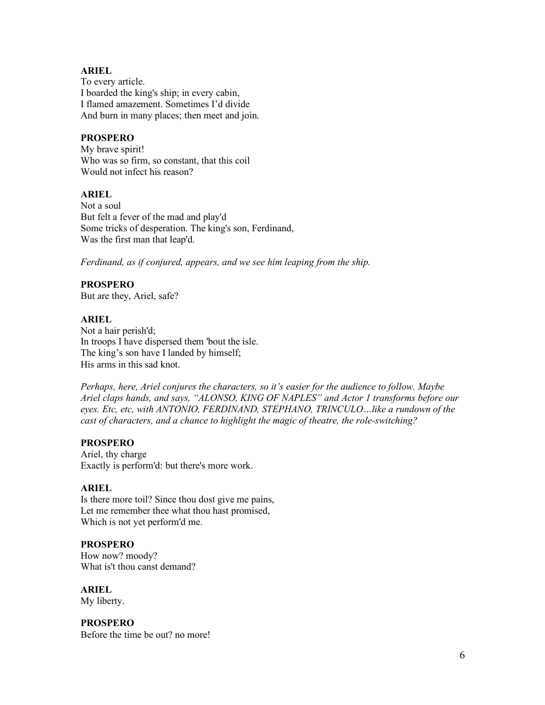## **ARIEL**

To every article. I boarded the king's ship; in every cabin, I flamed amazement. Sometimes I'd divide And burn in many places; then meet and join.

## **PROSPERO**

My brave spirit! Who was so firm, so constant, that this coil Would not infect his reason?

#### **ARIEL**

Not a soul But felt a fever of the mad and play'd Some tricks of desperation. The king's son, Ferdinand, Was the first man that leap'd.

*Ferdinand, as if conjured, appears, and we see him leaping from the ship.* 

## **PROSPERO**

But are they, Ariel, safe?

#### **ARIEL**

Not a hair perish'd; In troops I have dispersed them 'bout the isle. The king's son have I landed by himself; His arms in this sad knot.

*Perhaps, here, Ariel conjures the characters, so it's easier for the audience to follow. Maybe Ariel claps hands, and says, "ALONSO, KING OF NAPLES" and Actor 1 transforms before our eyes. Etc, etc, with ANTONIO, FERDINAND, STEPHANO, TRINCULO…like a rundown of the cast of characters, and a chance to highlight the magic of theatre, the role-switching?*

## **PROSPERO**

Ariel, thy charge Exactly is perform'd: but there's more work.

#### **ARIEL**

Is there more toil? Since thou dost give me pains, Let me remember thee what thou hast promised, Which is not yet perform'd me.

## **PROSPERO**

How now? moody? What is't thou canst demand?

**ARIEL**

My liberty.

**PROSPERO** Before the time be out? no more!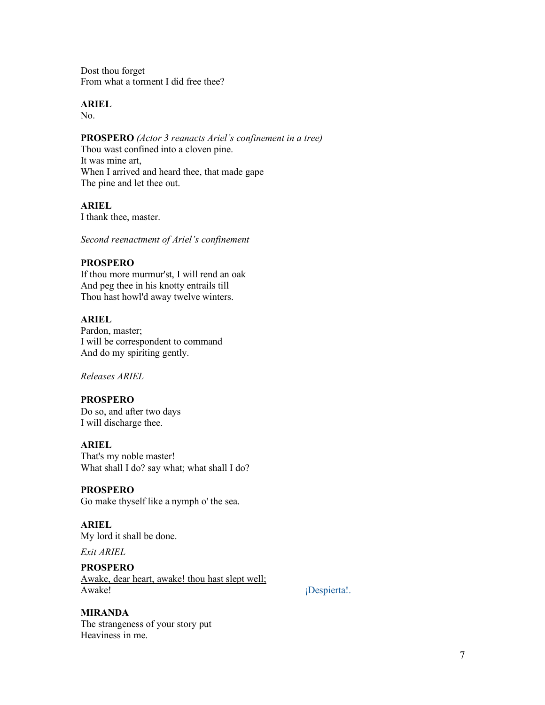Dost thou forget From what a torment I did free thee?

# **ARIEL**

No.

# **PROSPERO** *(Actor 3 reanacts Ariel's confinement in a tree)*

Thou wast confined into a cloven pine. It was mine art, When I arrived and heard thee, that made gape The pine and let thee out.

# **ARIEL**

I thank thee, master.

*Second reenactment of Ariel's confinement*

#### **PROSPERO**

If thou more murmur'st, I will rend an oak And peg thee in his knotty entrails till Thou hast howl'd away twelve winters.

#### **ARIEL**

Pardon, master; I will be correspondent to command And do my spiriting gently.

*Releases ARIEL*

## **PROSPERO**

Do so, and after two days I will discharge thee.

#### **ARIEL**

That's my noble master! What shall I do? say what; what shall I do?

#### **PROSPERO**

Go make thyself like a nymph o' the sea.

# **ARIEL**

My lord it shall be done.

*Exit ARIEL*

#### **PROSPERO**

Awake, dear heart, awake! thou hast slept well; Awake! iDespierta!.

#### **MIRANDA**

The strangeness of your story put Heaviness in me.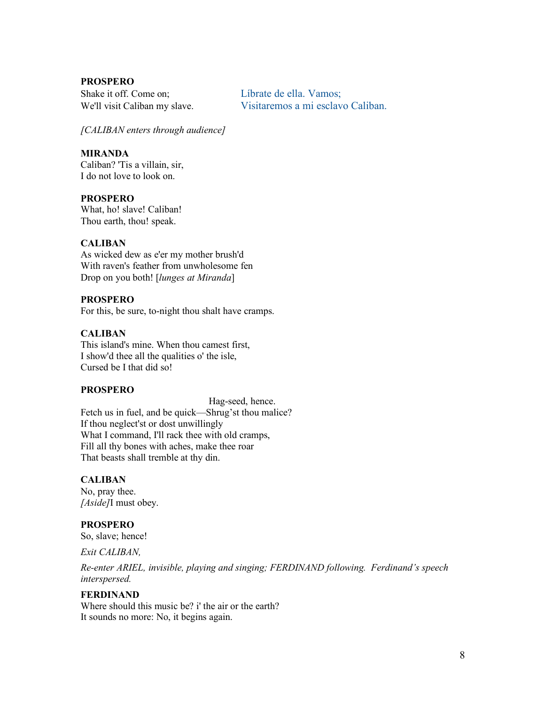Shake it off. Come on; <br>Líbrate de ella. Vamos; We'll visit Caliban my slave. Visitaremos a mi esclavo Caliban.

*[CALIBAN enters through audience]*

#### **MIRANDA**

Caliban? 'Tis a villain, sir, I do not love to look on.

**PROSPERO**

What, ho! slave! Caliban! Thou earth, thou! speak.

# **CALIBAN**

As wicked dew as e'er my mother brush'd With raven's feather from unwholesome fen Drop on you both! [*lunges at Miranda*]

#### **PROSPERO**

For this, be sure, to-night thou shalt have cramps.

## **CALIBAN**

This island's mine. When thou camest first, I show'd thee all the qualities o' the isle, Cursed be I that did so!

#### **PROSPERO**

Hag-seed, hence. Fetch us in fuel, and be quick—Shrug'st thou malice? If thou neglect'st or dost unwillingly What I command, I'll rack thee with old cramps, Fill all thy bones with aches, make thee roar That beasts shall tremble at thy din.

#### **CALIBAN**

No, pray thee. *[Aside]*I must obey.

#### **PROSPERO**

So, slave; hence!

*Exit CALIBAN,*

*Re-enter ARIEL, invisible, playing and singing; FERDINAND following. Ferdinand's speech interspersed.*

## **FERDINAND**

Where should this music be? i' the air or the earth? It sounds no more: No, it begins again.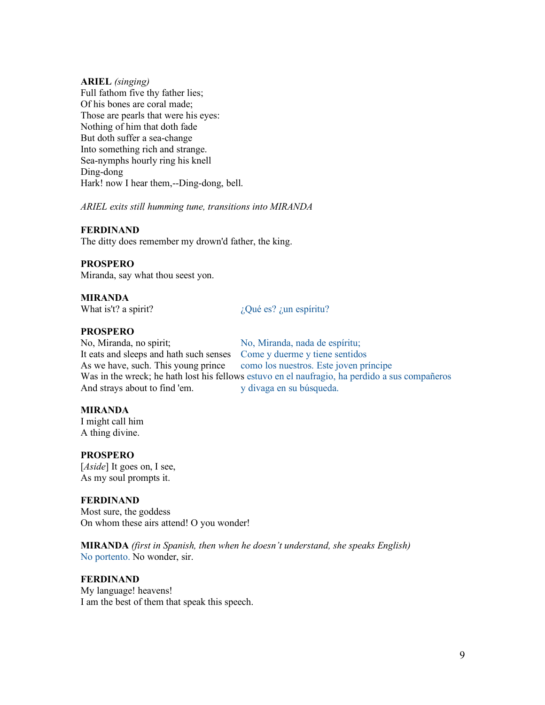#### **ARIEL** *(singing)*

Full fathom five thy father lies; Of his bones are coral made; Those are pearls that were his eyes: Nothing of him that doth fade But doth suffer a sea-change Into something rich and strange. Sea-nymphs hourly ring his knell Ding-dong Hark! now I hear them,--Ding-dong, bell.

*ARIEL exits still humming tune, transitions into MIRANDA*

## **FERDINAND**

The ditty does remember my drown'd father, the king.

## **PROSPERO**

Miranda, say what thou seest yon.

## **MIRANDA**

What is't? a spirit?  $i$   $i$ Qué es? *i* un espíritu?

#### **PROSPERO**

No, Miranda, no spirit; No, Miranda, nada de espíritu; It eats and sleeps and hath such senses Come y duerme y tiene sentidos As we have, such. This young prince como los nuestros. Este joven príncipe Was in the wreck; he hath lost his fellows estuvo en el naufragio, ha perdido a sus compañeros And strays about to find 'em. y divaga en su búsqueda.

## **MIRANDA**

I might call him A thing divine.

## **PROSPERO**

[*Aside*] It goes on, I see, As my soul prompts it.

## **FERDINAND**

Most sure, the goddess On whom these airs attend! O you wonder!

**MIRANDA** *(first in Spanish, then when he doesn't understand, she speaks English)* No portento. No wonder, sir.

# **FERDINAND**

My language! heavens! I am the best of them that speak this speech.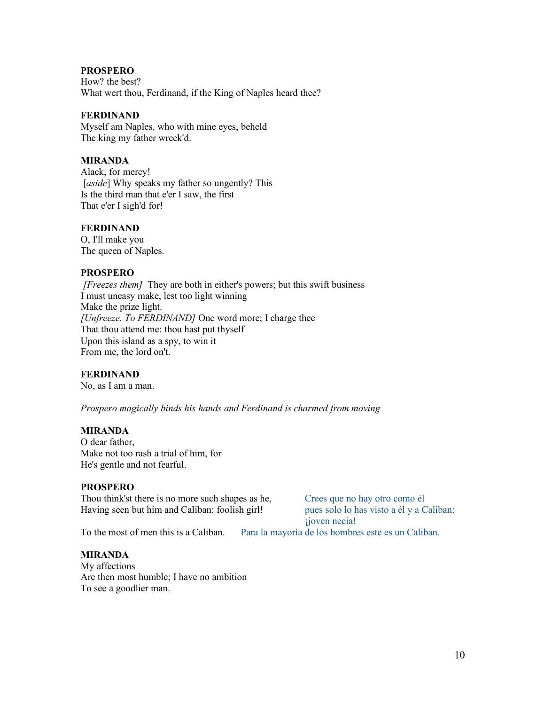How? the best? What wert thou, Ferdinand, if the King of Naples heard thee?

#### **FERDINAND**

Myself am Naples, who with mine eyes, beheld The king my father wreck'd.

#### **MIRANDA**

Alack, for mercy! [aside] Why speaks my father so ungently? This Is the third man that e'er I saw, the first That e'er I sigh'd for!

#### **FERDINAND**

O, I'll make you The queen of Naples.

#### **PROSPERO**

*[Freezes them]* They are both in either's powers; but this swift business I must uneasy make, lest too light winning Make the prize light. *[Unfreeze. To FERDINAND]* One word more; I charge thee That thou attend me: thou hast put thyself Upon this island as a spy, to win it From me, the lord on't.

## **FERDINAND**

No, as I am a man.

*Prospero magically binds his hands and Ferdinand is charmed from moving*

#### **MIRANDA**

O dear father, Make not too rash a trial of him, for He's gentle and not fearful.

#### **PROSPERO**

Thou think'st there is no more such shapes as he, Crees que no hay otro como él Having seen but him and Caliban: foolish girl! pues solo lo has visto a él y a Caliban: Having seen but him and Caliban: foolish girl!

¡joven necia!

To the most of men this is a Caliban. Para la mayoría de los hombres este es un Caliban.

#### **MIRANDA**

My affections Are then most humble; I have no ambition To see a goodlier man.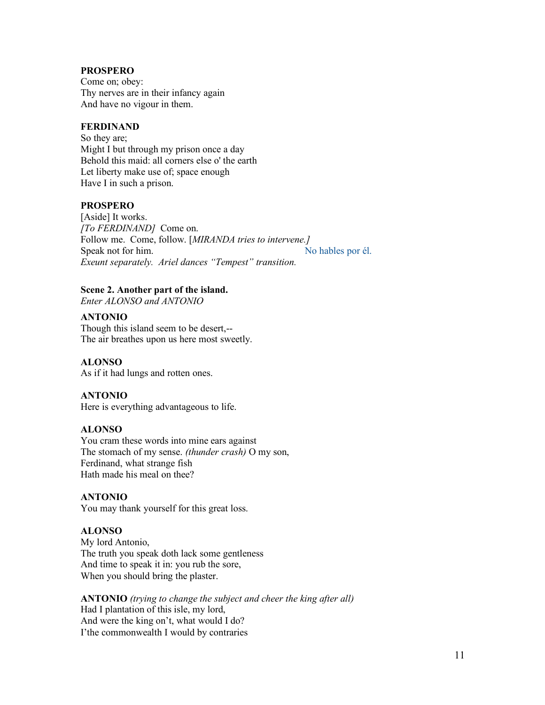Come on; obey: Thy nerves are in their infancy again And have no vigour in them.

## **FERDINAND**

So they are; Might I but through my prison once a day Behold this maid: all corners else o' the earth Let liberty make use of; space enough Have I in such a prison.

# **PROSPERO**

[Aside] It works. *[To FERDINAND]* Come on. Follow me.Come, follow. [*MIRANDA tries to intervene.]* Speak not for him. No hables por él. *Exeunt separately. Ariel dances "Tempest" transition.*

# **Scene 2. Another part of the island.**

*Enter ALONSO and ANTONIO*

#### **ANTONIO**

Though this island seem to be desert,-- The air breathes upon us here most sweetly.

#### **ALONSO**

As if it had lungs and rotten ones.

#### **ANTONIO**

Here is everything advantageous to life.

#### **ALONSO**

You cram these words into mine ears against The stomach of my sense. *(thunder crash)* O my son, Ferdinand, what strange fish Hath made his meal on thee?

#### **ANTONIO**

You may thank yourself for this great loss.

# **ALONSO**

My lord Antonio, The truth you speak doth lack some gentleness And time to speak it in: you rub the sore, When you should bring the plaster.

**ANTONIO** *(trying to change the subject and cheer the king after all)* Had I plantation of this isle, my lord, And were the king on't, what would I do? I'the commonwealth I would by contraries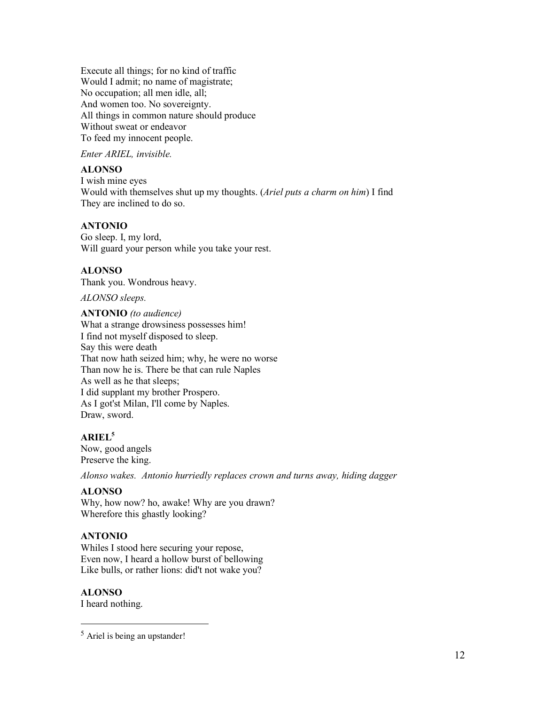Execute all things; for no kind of traffic Would I admit; no name of magistrate; No occupation; all men idle, all; And women too. No sovereignty. All things in common nature should produce Without sweat or endeavor To feed my innocent people.

*Enter ARIEL, invisible.*

## **ALONSO**

I wish mine eyes Would with themselves shut up my thoughts. (*Ariel puts a charm on him*) I find They are inclined to do so.

#### **ANTONIO**

Go sleep. I, my lord, Will guard your person while you take your rest.

#### **ALONSO**

Thank you. Wondrous heavy.

*ALONSO sleeps.*

**ANTONIO** *(to audience)* What a strange drowsiness possesses him! I find not myself disposed to sleep. Say this were death That now hath seized him; why, he were no worse Than now he is. There be that can rule Naples As well as he that sleeps; I did supplant my brother Prospero. As I got'st Milan, I'll come by Naples. Draw, sword.

## **ARIEL5**

Now, good angels Preserve the king.

*Alonso wakes. Antonio hurriedly replaces crown and turns away, hiding dagger*

#### **ALONSO**

Why, how now? ho, awake! Why are you drawn? Wherefore this ghastly looking?

## **ANTONIO**

Whiles I stood here securing your repose, Even now, I heard a hollow burst of bellowing Like bulls, or rather lions: did't not wake you?

#### **ALONSO**

I heard nothing.

 <sup>5</sup> Ariel is being an upstander!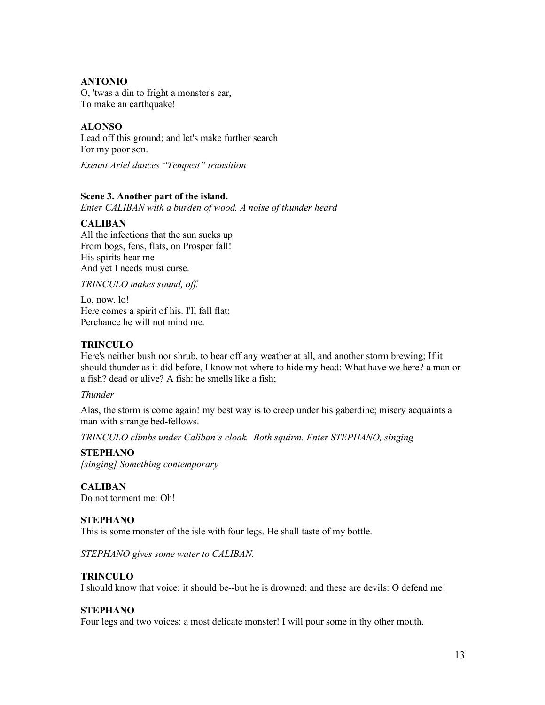# **ANTONIO**

O, 'twas a din to fright a monster's ear, To make an earthquake!

# **ALONSO**

Lead off this ground; and let's make further search For my poor son.

*Exeunt Ariel dances "Tempest" transition*

# **Scene 3. Another part of the island.**

*Enter CALIBAN with a burden of wood. A noise of thunder heard*

## **CALIBAN**

All the infections that the sun sucks up From bogs, fens, flats, on Prosper fall! His spirits hear me And yet I needs must curse.

*TRINCULO makes sound, off.*

Lo, now, lo! Here comes a spirit of his. I'll fall flat; Perchance he will not mind me.

# **TRINCULO**

Here's neither bush nor shrub, to bear off any weather at all, and another storm brewing; If it should thunder as it did before, I know not where to hide my head: What have we here? a man or a fish? dead or alive? A fish: he smells like a fish;

*Thunder*

Alas, the storm is come again! my best way is to creep under his gaberdine; misery acquaints a man with strange bed-fellows.

*TRINCULO climbs under Caliban's cloak. Both squirm. Enter STEPHANO, singing*

## **STEPHANO**

*[singing] Something contemporary*

## **CALIBAN**

Do not torment me: Oh!

## **STEPHANO**

This is some monster of the isle with four legs. He shall taste of my bottle.

*STEPHANO gives some water to CALIBAN.* 

## **TRINCULO**

I should know that voice: it should be--but he is drowned; and these are devils: O defend me!

## **STEPHANO**

Four legs and two voices: a most delicate monster! I will pour some in thy other mouth.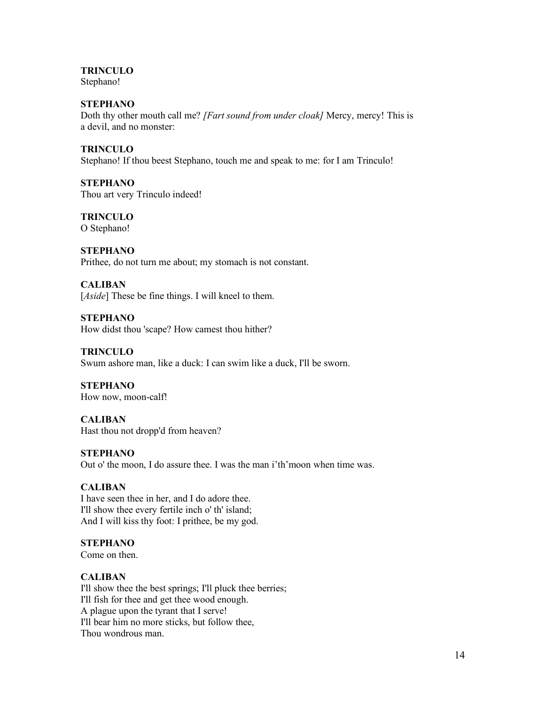**TRINCULO** Stephano!

**STEPHANO** Doth thy other mouth call me? *[Fart sound from under cloak]* Mercy, mercy! This is a devil, and no monster:

**TRINCULO** Stephano! If thou beest Stephano, touch me and speak to me: for I am Trinculo!

**STEPHANO** Thou art very Trinculo indeed!

**TRINCULO** O Stephano!

**STEPHANO** Prithee, do not turn me about; my stomach is not constant.

**CALIBAN** [*Aside*] These be fine things. I will kneel to them.

**STEPHANO** How didst thou 'scape? How camest thou hither?

**TRINCULO** Swum ashore man, like a duck: I can swim like a duck, I'll be sworn.

**STEPHANO** How now, moon-calf!

**CALIBAN** Hast thou not dropp'd from heaven?

**STEPHANO** Out o' the moon, I do assure thee. I was the man i'th'moon when time was.

# **CALIBAN**

I have seen thee in her, and I do adore thee. I'll show thee every fertile inch o' th' island; And I will kiss thy foot: I prithee, be my god.

# **STEPHANO**

Come on then.

## **CALIBAN**

I'll show thee the best springs; I'll pluck thee berries; I'll fish for thee and get thee wood enough. A plague upon the tyrant that I serve! I'll bear him no more sticks, but follow thee, Thou wondrous man.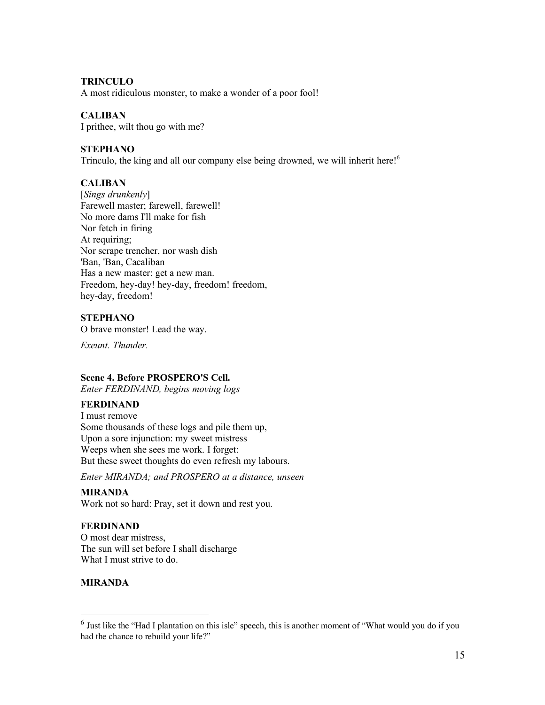#### **TRINCULO**

A most ridiculous monster, to make a wonder of a poor fool!

## **CALIBAN**

I prithee, wilt thou go with me?

#### **STEPHANO**

Trinculo, the king and all our company else being drowned, we will inherit here!<sup>6</sup>

## **CALIBAN**

[*Sings drunkenly*] Farewell master; farewell, farewell! No more dams I'll make for fish Nor fetch in firing At requiring; Nor scrape trencher, nor wash dish 'Ban, 'Ban, Cacaliban Has a new master: get a new man. Freedom, hey-day! hey-day, freedom! freedom, hey-day, freedom!

# **STEPHANO**

O brave monster! Lead the way.

*Exeunt. Thunder.* 

## **Scene 4. Before PROSPERO'S Cell.**

*Enter FERDINAND, begins moving logs*

## **FERDINAND**

I must remove Some thousands of these logs and pile them up, Upon a sore injunction: my sweet mistress Weeps when she sees me work. I forget: But these sweet thoughts do even refresh my labours.

*Enter MIRANDA; and PROSPERO at a distance, unseen*

# **MIRANDA**

Work not so hard: Pray, set it down and rest you.

## **FERDINAND**

O most dear mistress, The sun will set before I shall discharge What I must strive to do.

## **MIRANDA**

 <sup>6</sup> Just like the "Had I plantation on this isle" speech, this is another moment of "What would you do if you had the chance to rebuild your life?"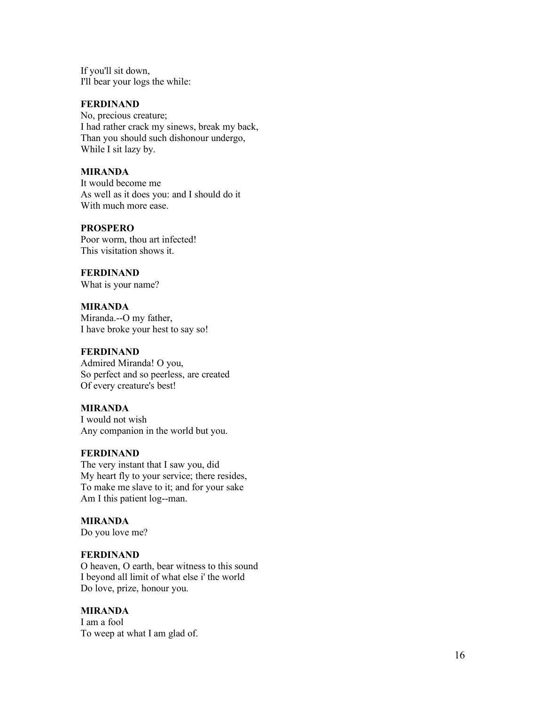If you'll sit down, I'll bear your logs the while:

## **FERDINAND**

No, precious creature; I had rather crack my sinews, break my back, Than you should such dishonour undergo, While I sit lazy by.

#### **MIRANDA**

It would become me As well as it does you: and I should do it With much more ease.

#### **PROSPERO**

Poor worm, thou art infected! This visitation shows it.

**FERDINAND**

What is your name?

**MIRANDA** Miranda.--O my father, I have broke your hest to say so!

## **FERDINAND**

Admired Miranda! O you, So perfect and so peerless, are created Of every creature's best!

#### **MIRANDA**

I would not wish Any companion in the world but you.

#### **FERDINAND**

The very instant that I saw you, did My heart fly to your service; there resides, To make me slave to it; and for your sake Am I this patient log--man.

#### **MIRANDA**

Do you love me?

#### **FERDINAND**

O heaven, O earth, bear witness to this sound I beyond all limit of what else i' the world Do love, prize, honour you.

#### **MIRANDA**

I am a fool To weep at what I am glad of.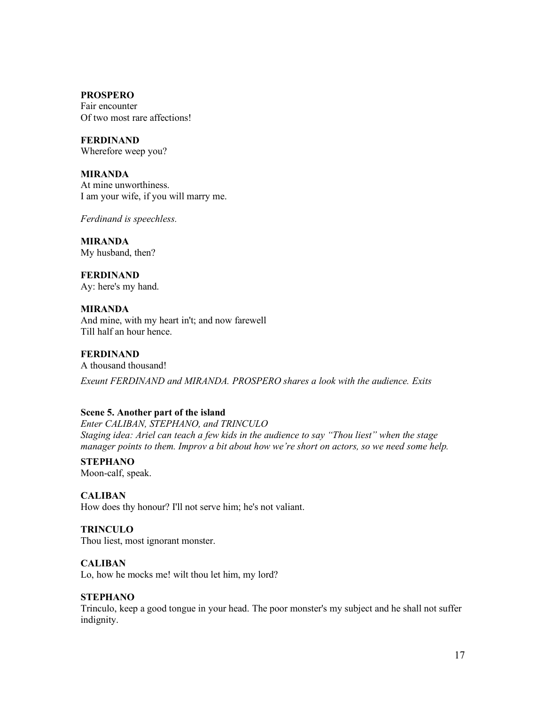Fair encounter Of two most rare affections!

**FERDINAND** Wherefore weep you?

**MIRANDA** At mine unworthiness. I am your wife, if you will marry me.

*Ferdinand is speechless.* 

**MIRANDA** My husband, then?

**FERDINAND** Ay: here's my hand.

**MIRANDA** And mine, with my heart in't; and now farewell Till half an hour hence.

**FERDINAND** A thousand thousand! *Exeunt FERDINAND and MIRANDA. PROSPERO shares a look with the audience. Exits*

## **Scene 5. Another part of the island**

*Enter CALIBAN, STEPHANO, and TRINCULO Staging idea: Ariel can teach a few kids in the audience to say "Thou liest" when the stage manager points to them. Improv a bit about how we're short on actors, so we need some help.*

**STEPHANO** Moon-calf, speak.

**CALIBAN** How does thy honour? I'll not serve him; he's not valiant.

**TRINCULO** Thou liest, most ignorant monster.

**CALIBAN**

Lo, how he mocks me! wilt thou let him, my lord?

## **STEPHANO**

Trinculo, keep a good tongue in your head. The poor monster's my subject and he shall not suffer indignity.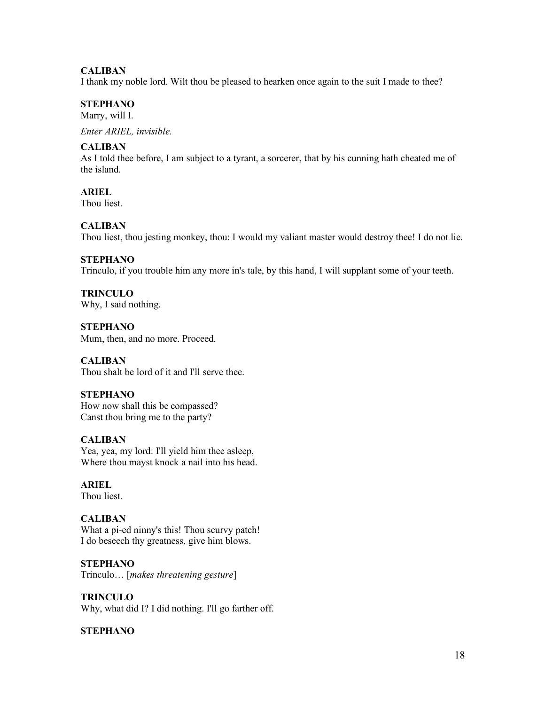# **CALIBAN**

I thank my noble lord. Wilt thou be pleased to hearken once again to the suit I made to thee?

# **STEPHANO**

Marry, will I.

*Enter ARIEL, invisible.* 

# **CALIBAN**

As I told thee before, I am subject to a tyrant, a sorcerer, that by his cunning hath cheated me of the island.

**ARIEL** Thou liest.

#### **CALIBAN**

Thou liest, thou jesting monkey, thou: I would my valiant master would destroy thee! I do not lie.

# **STEPHANO**

Trinculo, if you trouble him any more in's tale, by this hand, I will supplant some of your teeth.

**TRINCULO** Why, I said nothing.

**STEPHANO** Mum, then, and no more. Proceed.

**CALIBAN** Thou shalt be lord of it and I'll serve thee.

## **STEPHANO**

How now shall this be compassed? Canst thou bring me to the party?

## **CALIBAN**

Yea, yea, my lord: I'll yield him thee asleep, Where thou mayst knock a nail into his head.

# **ARIEL**

Thou liest.

## **CALIBAN**

What a pi-ed ninny's this! Thou scurvy patch! I do beseech thy greatness, give him blows.

## **STEPHANO**

Trinculo… [*makes threatening gesture*]

## **TRINCULO**

Why, what did I? I did nothing. I'll go farther off.

## **STEPHANO**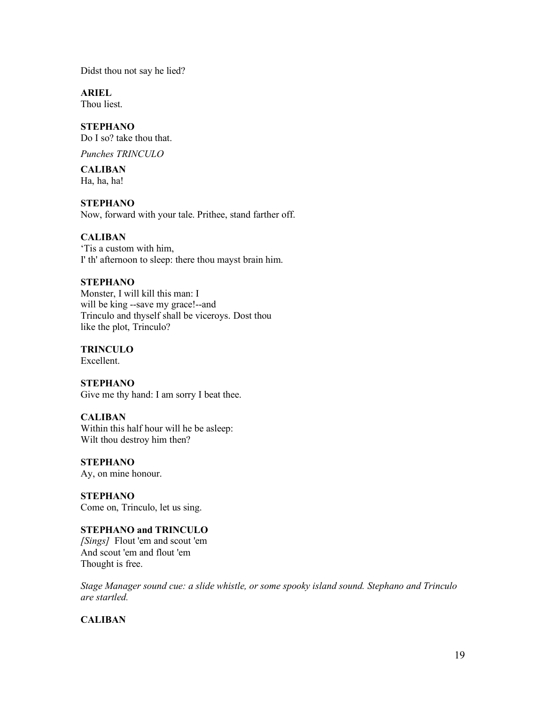Didst thou not say he lied?

**ARIEL**

Thou liest.

# **STEPHANO**

Do I so? take thou that.

*Punches TRINCULO*

# **CALIBAN**

Ha, ha, ha!

# **STEPHANO**

Now, forward with your tale. Prithee, stand farther off.

# **CALIBAN**

'Tis a custom with him, I' th' afternoon to sleep: there thou mayst brain him.

# **STEPHANO**

Monster, I will kill this man: I will be king --save my grace!--and Trinculo and thyself shall be viceroys. Dost thou like the plot, Trinculo?

# **TRINCULO**

Excellent.

# **STEPHANO**

Give me thy hand: I am sorry I beat thee.

# **CALIBAN**

Within this half hour will he be asleep: Wilt thou destroy him then?

# **STEPHANO**

Ay, on mine honour.

## **STEPHANO** Come on, Trinculo, let us sing.

# **STEPHANO and TRINCULO**

*[Sings]* Flout 'em and scout 'em And scout 'em and flout 'em Thought is free.

*Stage Manager sound cue: a slide whistle, or some spooky island sound. Stephano and Trinculo are startled.* 

# **CALIBAN**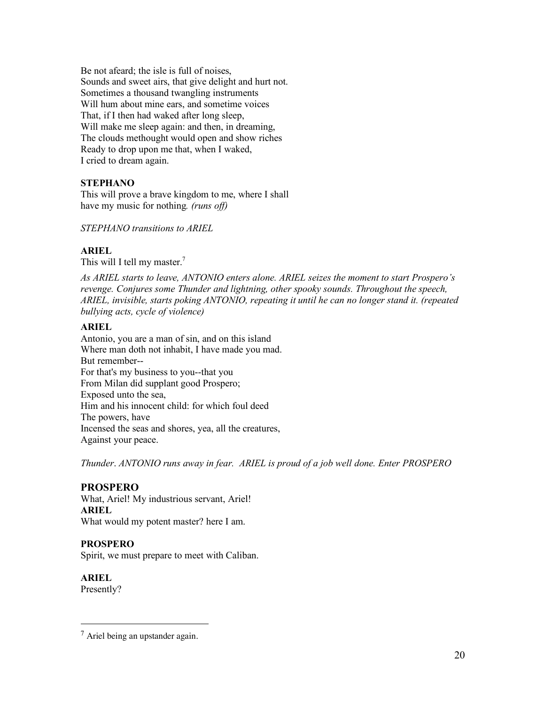Be not afeard; the isle is full of noises, Sounds and sweet airs, that give delight and hurt not. Sometimes a thousand twangling instruments Will hum about mine ears, and sometime voices That, if I then had waked after long sleep, Will make me sleep again: and then, in dreaming, The clouds methought would open and show riches Ready to drop upon me that, when I waked, I cried to dream again.

# **STEPHANO**

This will prove a brave kingdom to me, where I shall have my music for nothing*. (runs off)*

*STEPHANO transitions to ARIEL*

# **ARIEL**

This will I tell my master.<sup>7</sup>

*As ARIEL starts to leave, ANTONIO enters alone. ARIEL seizes the moment to start Prospero's revenge. Conjures some Thunder and lightning, other spooky sounds. Throughout the speech, ARIEL, invisible, starts poking ANTONIO, repeating it until he can no longer stand it. (repeated bullying acts, cycle of violence)*

## **ARIEL**

Antonio, you are a man of sin, and on this island Where man doth not inhabit, I have made you mad. But remember-- For that's my business to you--that you From Milan did supplant good Prospero; Exposed unto the sea, Him and his innocent child: for which foul deed The powers, have Incensed the seas and shores, yea, all the creatures, Against your peace.

*Thunder*. *ANTONIO runs away in fear. ARIEL is proud of a job well done. Enter PROSPERO*

## **PROSPERO**

What, Ariel! My industrious servant, Ariel! **ARIEL** What would my potent master? here I am.

## **PROSPERO**

Spirit, we must prepare to meet with Caliban.

**ARIEL** Presently?

 $<sup>7</sup>$  Ariel being an upstander again.</sup>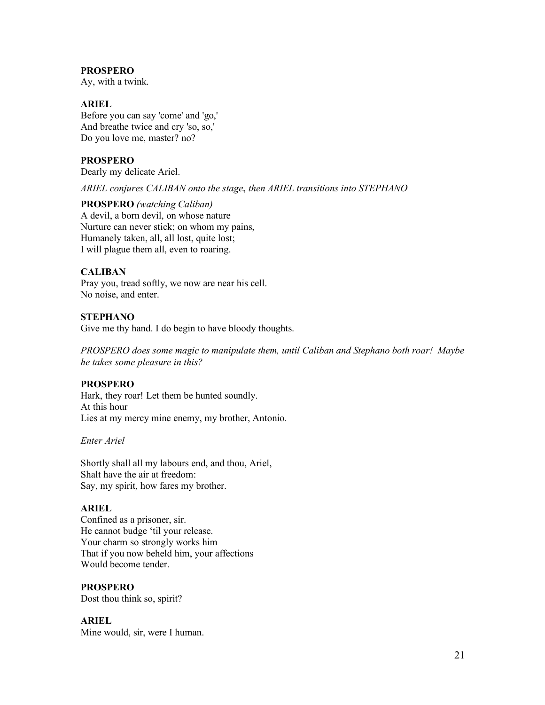Ay, with a twink.

## **ARIEL**

Before you can say 'come' and 'go,' And breathe twice and cry 'so, so,' Do you love me, master? no?

# **PROSPERO**

Dearly my delicate Ariel.

*ARIEL conjures CALIBAN onto the stage*, *then ARIEL transitions into STEPHANO*

## **PROSPERO** *(watching Caliban)* A devil, a born devil, on whose nature Nurture can never stick; on whom my pains, Humanely taken, all, all lost, quite lost; I will plague them all, even to roaring.

# **CALIBAN**

Pray you, tread softly, we now are near his cell. No noise, and enter.

## **STEPHANO**

Give me thy hand. I do begin to have bloody thoughts.

*PROSPERO does some magic to manipulate them, until Caliban and Stephano both roar! Maybe he takes some pleasure in this?*

## **PROSPERO**

Hark, they roar! Let them be hunted soundly. At this hour Lies at my mercy mine enemy, my brother, Antonio.

*Enter Ariel*

Shortly shall all my labours end, and thou, Ariel, Shalt have the air at freedom: Say, my spirit, how fares my brother.

## **ARIEL**

Confined as a prisoner, sir. He cannot budge 'til your release. Your charm so strongly works him That if you now beheld him, your affections Would become tender.

# **PROSPERO**

Dost thou think so, spirit?

## **ARIEL**

Mine would, sir, were I human.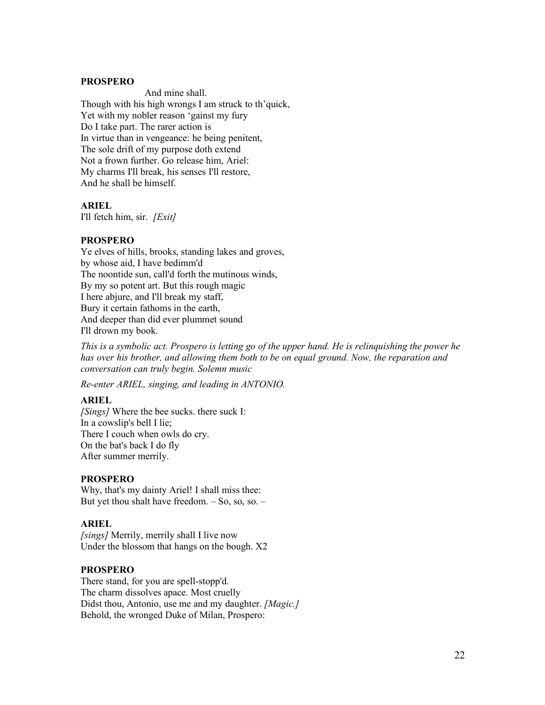And mine shall. Though with his high wrongs I am struck to th'quick, Yet with my nobler reason 'gainst my fury Do I take part. The rarer action is In virtue than in vengeance: he being penitent, The sole drift of my purpose doth extend Not a frown further. Go release him, Ariel: My charms I'll break, his senses I'll restore, And he shall be himself.

## **ARIEL**

I'll fetch him, sir. *[Exit]*

## **PROSPERO**

Ye elves of hills, brooks, standing lakes and groves, by whose aid, I have bedimm'd The noontide sun, call'd forth the mutinous winds, By my so potent art. But this rough magic I here abjure, and I'll break my staff, Bury it certain fathoms in the earth, And deeper than did ever plummet sound I'll drown my book.

*This is a symbolic act. Prospero is letting go of the upper hand. He is relinquishing the power he has over his brother, and allowing them both to be on equal ground. Now, the reparation and conversation can truly begin. Solemn music*

*Re-enter ARIEL, singing, and leading in ANTONIO.* 

## **ARIEL**

*[Sings]* Where the bee sucks. there suck I: In a cowslip's bell I lie; There I couch when owls do cry. On the bat's back I do fly After summer merrily.

#### **PROSPERO**

Why, that's my dainty Ariel! I shall miss thee: But yet thou shalt have freedom.  $-$  So, so, so.  $-$ 

## **ARIEL**

*[sings]* Merrily, merrily shall I live now Under the blossom that hangs on the bough. X2

#### **PROSPERO**

There stand, for you are spell-stopp'd. The charm dissolves apace. Most cruelly Didst thou, Antonio, use me and my daughter. *[Magic.]* Behold, the wronged Duke of Milan, Prospero: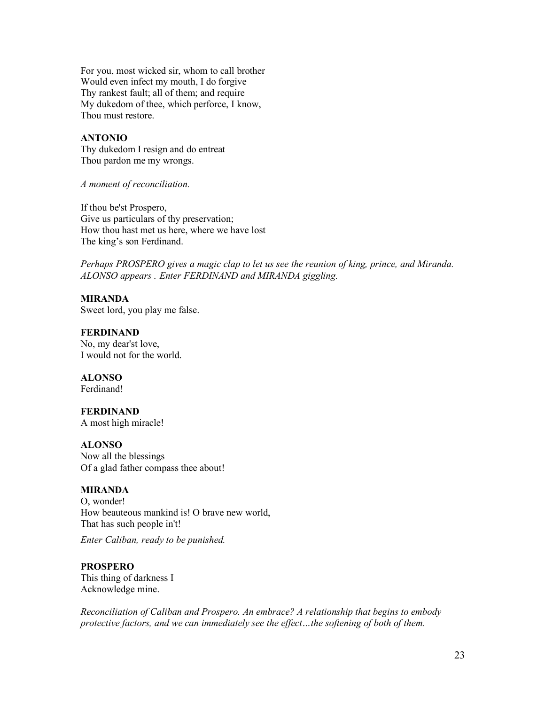For you, most wicked sir, whom to call brother Would even infect my mouth, I do forgive Thy rankest fault; all of them; and require My dukedom of thee, which perforce, I know, Thou must restore.

#### **ANTONIO**

Thy dukedom I resign and do entreat Thou pardon me my wrongs.

*A moment of reconciliation.*

If thou be'st Prospero, Give us particulars of thy preservation; How thou hast met us here, where we have lost The king's son Ferdinand.

*Perhaps PROSPERO gives a magic clap to let us see the reunion of king, prince, and Miranda. ALONSO appears . Enter FERDINAND and MIRANDA giggling.* 

**MIRANDA** Sweet lord, you play me false.

**FERDINAND** No, my dear'st love, I would not for the world.

**ALONSO** Ferdinand!

**FERDINAND**  A most high miracle!

**ALONSO** Now all the blessings Of a glad father compass thee about!

#### **MIRANDA**

O, wonder! How beauteous mankind is! O brave new world, That has such people in't!

*Enter Caliban, ready to be punished.* 

#### **PROSPERO**

This thing of darkness I Acknowledge mine.

*Reconciliation of Caliban and Prospero. An embrace? A relationship that begins to embody protective factors, and we can immediately see the effect…the softening of both of them.*